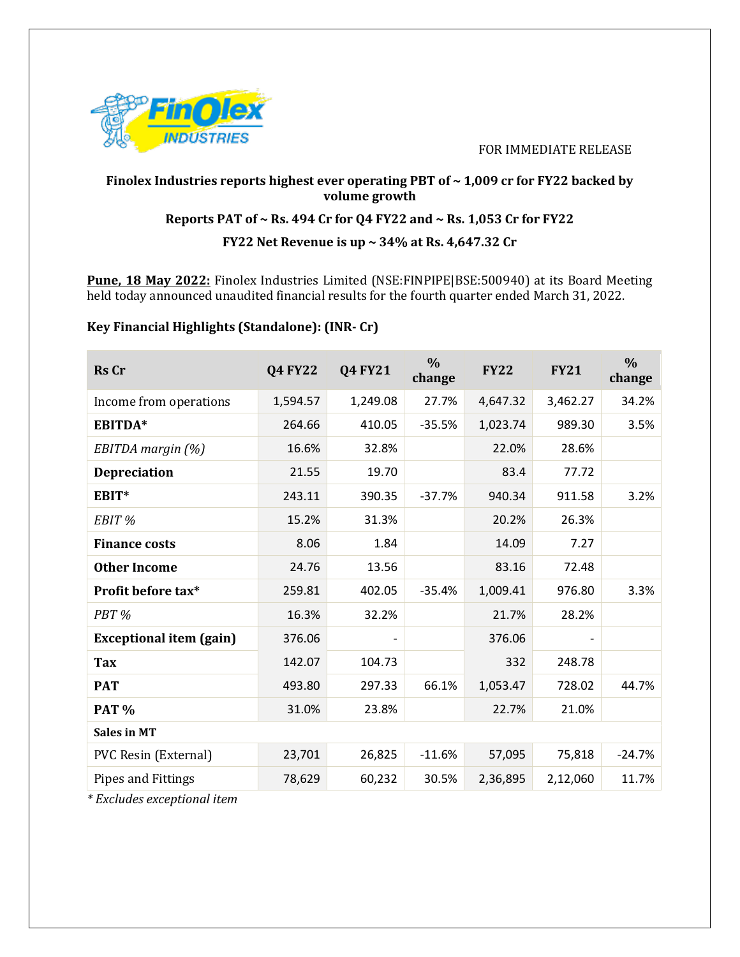

#### FOR IMMEDIATE RELEASE

# **Finolex Industries reports highest ever operating PBT of ~ 1,009 cr for FY22 backed by volume growth Reports PAT of ~ Rs. 494 Cr for Q4 FY22 and ~ Rs. 1,053 Cr for FY22**

## **FY22 Net Revenue is up ~ 34% at Rs. 4,647.32 Cr**

**Pune, 18 May 2022:** Finolex Industries Limited (NSE:FINPIPE|BSE:500940) at its Board Meeting held today announced unaudited financial results for the fourth quarter ended March 31, 2022.

### **Key Financial Highlights (Standalone): (INR- Cr)**

| <b>Rs</b> Cr                                       | <b>Q4 FY22</b> | <b>Q4 FY21</b> | $\frac{0}{0}$<br>change | <b>FY22</b> | <b>FY21</b> | $\frac{0}{0}$<br>change |
|----------------------------------------------------|----------------|----------------|-------------------------|-------------|-------------|-------------------------|
| Income from operations                             | 1,594.57       | 1,249.08       | 27.7%                   | 4,647.32    | 3,462.27    | 34.2%                   |
| EBITDA*                                            | 264.66         | 410.05         | $-35.5%$                | 1,023.74    | 989.30      | 3.5%                    |
| EBITDA margin (%)                                  | 16.6%          | 32.8%          |                         | 22.0%       | 28.6%       |                         |
| <b>Depreciation</b>                                | 21.55          | 19.70          |                         | 83.4        | 77.72       |                         |
| EBIT*                                              | 243.11         | 390.35         | $-37.7%$                | 940.34      | 911.58      | 3.2%                    |
| EBIT <sup>%</sup>                                  | 15.2%          | 31.3%          |                         | 20.2%       | 26.3%       |                         |
| <b>Finance costs</b>                               | 8.06           | 1.84           |                         | 14.09       | 7.27        |                         |
| <b>Other Income</b>                                | 24.76          | 13.56          |                         | 83.16       | 72.48       |                         |
| Profit before tax*                                 | 259.81         | 402.05         | $-35.4%$                | 1,009.41    | 976.80      | 3.3%                    |
| PBT <sub>%</sub>                                   | 16.3%          | 32.2%          |                         | 21.7%       | 28.2%       |                         |
| <b>Exceptional item (gain)</b>                     | 376.06         |                |                         | 376.06      |             |                         |
| <b>Tax</b>                                         | 142.07         | 104.73         |                         | 332         | 248.78      |                         |
| <b>PAT</b>                                         | 493.80         | 297.33         | 66.1%                   | 1,053.47    | 728.02      | 44.7%                   |
| <b>PAT %</b>                                       | 31.0%          | 23.8%          |                         | 22.7%       | 21.0%       |                         |
| <b>Sales in MT</b>                                 |                |                |                         |             |             |                         |
| PVC Resin (External)                               | 23,701         | 26,825         | $-11.6%$                | 57,095      | 75,818      | $-24.7%$                |
| Pipes and Fittings<br>$*Euclidean momentum of tom$ | 78,629         | 60,232         | 30.5%                   | 2,36,895    | 2,12,060    | 11.7%                   |

*\* Excludes exceptional item*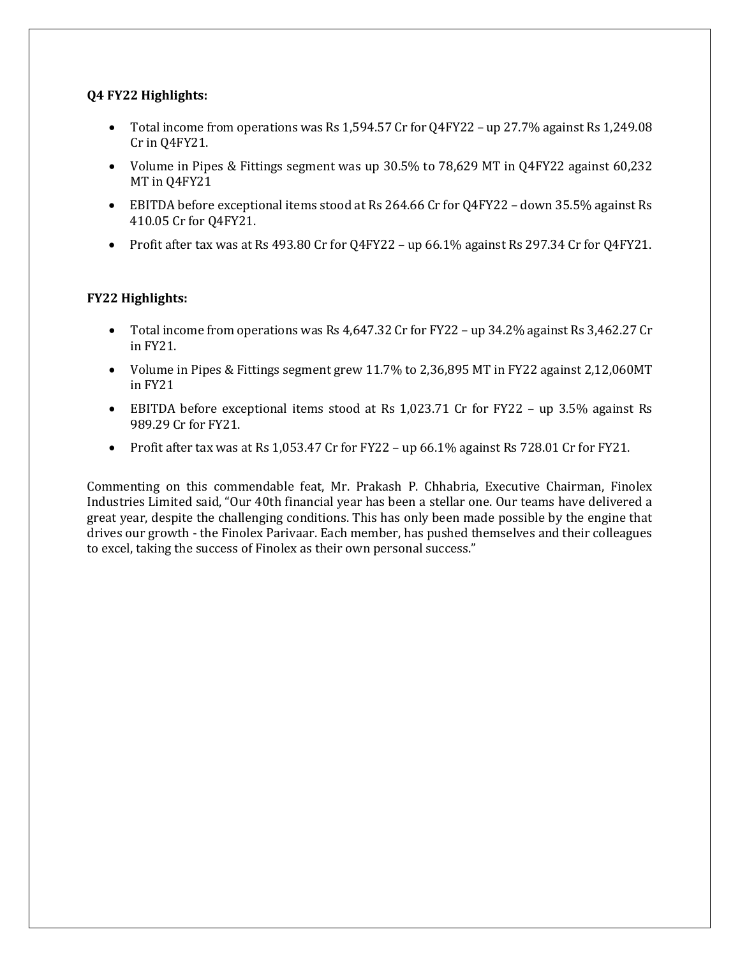#### **Q4 FY22 Highlights:**

- Total income from operations was Rs 1,594.57 Cr for Q4FY22 up 27.7% against Rs 1,249.08 Cr in Q4FY21.
- Volume in Pipes & Fittings segment was up 30.5% to 78,629 MT in Q4FY22 against 60,232 MT in Q4FY21
- EBITDA before exceptional items stood at Rs 264.66 Cr for Q4FY22 down 35.5% against Rs 410.05 Cr for Q4FY21.
- Profit after tax was at Rs 493.80 Cr for Q4FY22 up 66.1% against Rs 297.34 Cr for Q4FY21.

### **FY22 Highlights:**

- Total income from operations was Rs 4,647.32 Cr for FY22 up 34.2% against Rs 3,462.27 Cr in FY21.
- Volume in Pipes & Fittings segment grew 11.7% to 2,36,895 MT in FY22 against 2,12,060MT in FY21
- EBITDA before exceptional items stood at Rs 1,023.71 Cr for FY22 up 3.5% against Rs 989.29 Cr for FY21.
- Profit after tax was at Rs 1,053.47 Cr for FY22 up  $66.1\%$  against Rs 728.01 Cr for FY21.

Commenting on this commendable feat, Mr. Prakash P. Chhabria, Executive Chairman, Finolex Industries Limited said, "Our 40th financial year has been a stellar one. Our teams have delivered a great year, despite the challenging conditions. This has only been made possible by the engine that drives our growth - the Finolex Parivaar. Each member, has pushed themselves and their colleagues to excel, taking the success of Finolex as their own personal success."